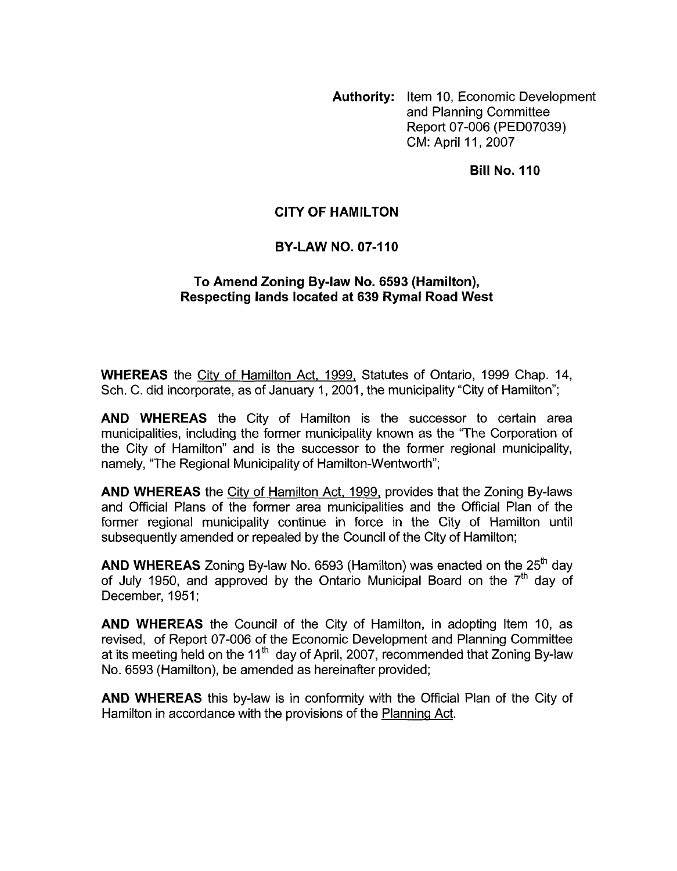**Authority:** Item 10, Economic Development and Planning Committee Report 07-006 (PED07039) CM: April 11,2007

## **Bill No. 110**

## **CITY OF HAMILTON**

## **BY-LAW NO. 07-1 10**

## To Amend Zoning By-law No. 6593 (Hamilton), **Respecting lands located at 639 Rymal Road West**

**WHEREAS** the City of Hamilton Act, 1999, Statutes of Ontario, 1999 Chap. 14, Sch. C. did incorporate, as of January 1, 2001, the municipality "City of Hamilton";

**AND WHEREAS** the City of Hamilton is the successor to certain area municipalities, including the former municipality known as the "The Corporation of the City of Hamilton" and is the successor to the former regional municipality, namely, "The Regional Municipality of Hamilton-Wentworth";

**AND WHEREAS** the City of Hamilton Act, 1999, provides that the Zoning By-laws and Official Plans of the former area municipalities and the Official Plan of the former regional municipality continue in force in the City of Hamilton until subsequently amended or repealed by the Council of the City of Hamilton;

**AND WHEREAS** Zoning By-law No. 6593 (Hamilton) was enacted on the 25<sup>th</sup> day of July 1950, and approved by the Ontario Municipal Board on the 7<sup>th</sup> day of December, 1951;

**AND WHEREAS** the Council of the City of Hamilton, in adopting Item 10, as revised, of Report 07-006 of the Economic Development and Planning Committee at its meeting held on the 11<sup>th</sup> day of April, 2007, recommended that Zoning By-law No. 6593 (Hamilton), be amended as hereinafter provided;

**AND WHEREAS** this by-law is in conformity with the Official Plan of the City of Hamilton in accordance with the provisions of the Planning Act.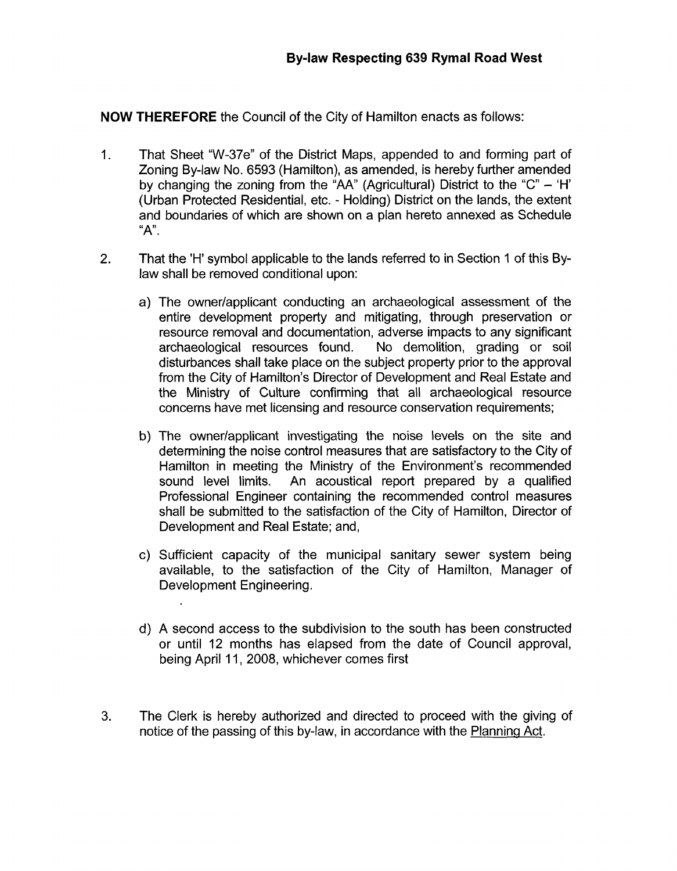**NOW THEREFORE** the Council of the City of Hamilton enacts as follows:

- 1. That Sheet "W-37e" of the District Maps, appended to and forming part of Zoning By-law No. 6593 (Hamilton), as amended, is hereby further amended by changing the zoning from the "AA" (Agricultural) District to the "C"  $-$  'H" (Urban Protected Residential, etc. - Holding) District on the lands, the extent and boundaries of which are shown on a plan hereto annexed as Schedule "A".
- 2. That the 'H' symbol applicable to the lands referred to in Section 1 of this Bylaw shall be removed conditional upon:
	- a) The owner/applicant conducting an archaeological assessment of the entire development property and mitigating, through preservation or resource removal and documentation, adverse impacts to any significant archaeological resources found. No demolition, grading or soil disturbances shall take place on the subject property prior to the approval from the City of Hamilton's Director of Development and Real Estate and the Ministry of Culture confirming that all archaeological resource concerns have met licensing and resource conservation requirements;
	- b) The owner/applicant investigating the noise levels on the site and determining the noise control measures that are satisfactory to the City of Hamilton in meeting the Ministry of the Environment's recommended sound level limits. An acoustical report prepared by a qualified Professional Engineer containing the recommended control measures shall be submitted to the satisfaction of the City of Hamilton, Director of Development and Real Estate; and,
	- c) Sufficient capacity of the municipal sanitary sewer system being available, to the satisfaction of the City of Hamilton, Manager of Development Engineering.
	- d) A second access to the subdivision to the south has been constructed or until 12 months has elapsed from the date of Council approval, being April 11, 2008, whichever comes first
- 3. The Clerk is hereby authorized and directed to proceed with the giving of notice of the passing of this by-law, in accordance with the Planning Act.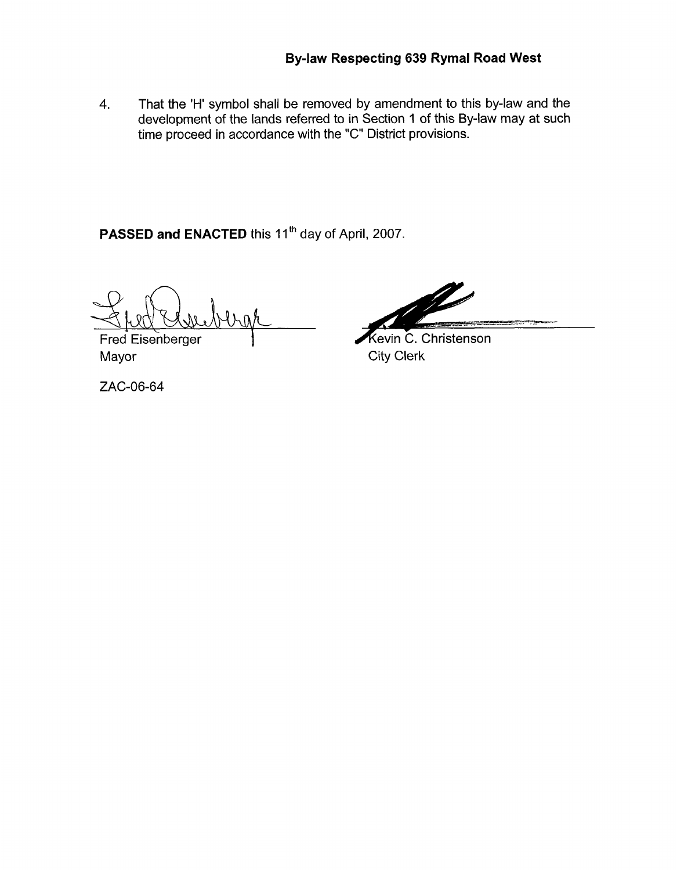4. That the 'H' symbol shall be removed by amendment to this by-law and the development of the lands referred to in Section I of this By-law may at such time proceed in accordance with the *"C"* District provisions.

PASSED and ENACTED this 11<sup>th</sup> day of April, 2007.

**Fred Eisenberger** Mayor City Clerk

Kevin C. Christenson

ZAC-06-64